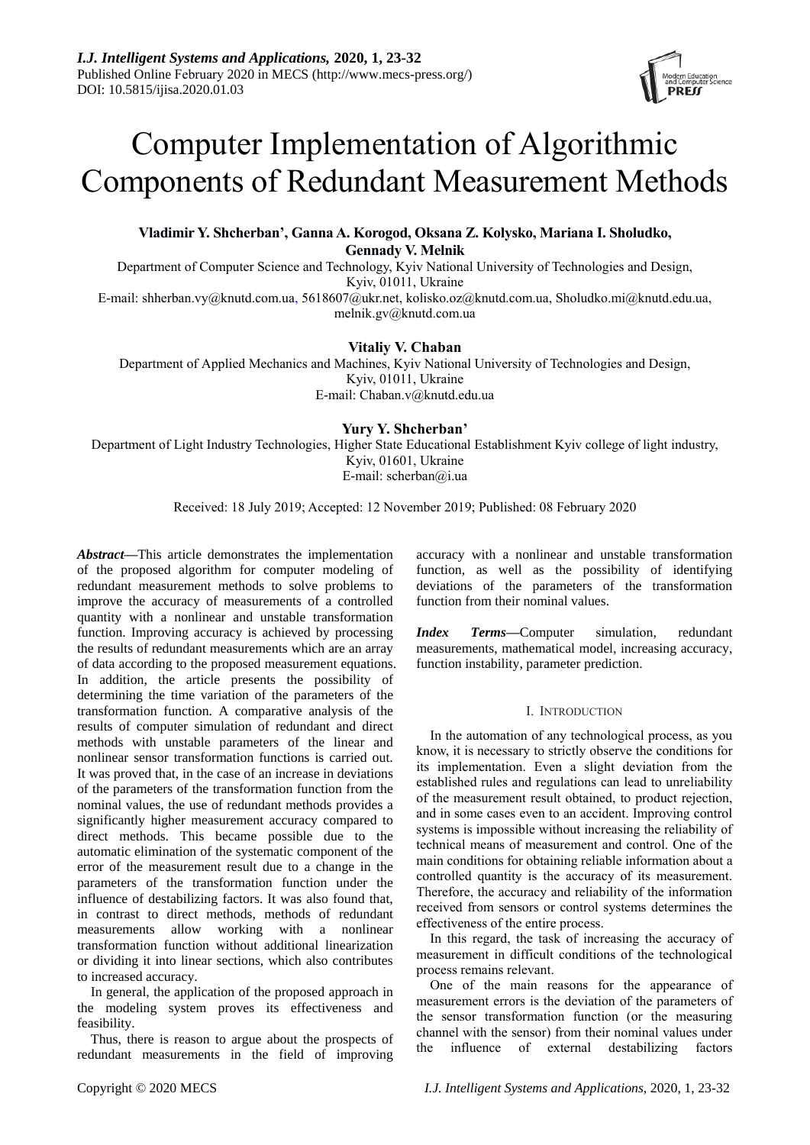# Computer Implementation of Algorithmic Components of Redundant Measurement Methods

## **Vladimir Y. Shcherban', Ganna A. Korogod, Oksana Z. Kolysko, Mariana I. Sholudko, Gennady V. Melnik**

Department of Computer Science and Technology, Kyiv National University of Technologies and Design, Kyiv, 01011, Ukraine

E-mail: [shherban.vy@knutd.com.ua,](mailto:shherban.vy@knutd.com.ua) [5618607@ukr.net,](mailto:5618607@ukr.net) [kolisko.oz@knutd.com.ua,](mailto:kolisko.oz@knutd.com.ua) [Sholudko.mi@knutd.edu.ua,](mailto:Sholudko.mi@knutd.edu.ua) [melnik.gv@knutd.com.ua](mailto:melnik.gv@knutd.com.ua)

## **Vitaliy V. Chaban**

Department of Applied Mechanics and Machines, Kyiv National University of Technologies and Design, Kyiv, 01011, Ukraine E-mail: [Chaban.v@knutd.edu.ua](mailto:Chaban.v@knutd.edu.ua)

## **Yury Y. Shcherban'**

Department of Light Industry Technologies, Higher State Educational Establishment Kyiv college of light industry, Kyiv, 01601, Ukraine Е-mail: [scherban@i.ua](mailto:scherban@i.ua)

Received: 18 July 2019; Accepted: 12 November 2019; Published: 08 February 2020

*Abstract***—**This article demonstrates the implementation of the proposed algorithm for computer modeling of redundant measurement methods to solve problems to improve the accuracy of measurements of a controlled quantity with a nonlinear and unstable transformation function. Improving accuracy is achieved by processing the results of redundant measurements which are an array of data according to the proposed measurement equations. In addition, the article presents the possibility of determining the time variation of the parameters of the transformation function. A comparative analysis of the results of computer simulation of redundant and direct methods with unstable parameters of the linear and nonlinear sensor transformation functions is carried out. It was proved that, in the case of an increase in deviations of the parameters of the transformation function from the nominal values, the use of redundant methods provides a significantly higher measurement accuracy compared to direct methods. This became possible due to the automatic elimination of the systematic component of the error of the measurement result due to a change in the parameters of the transformation function under the influence of destabilizing factors. It was also found that, in contrast to direct methods, methods of redundant measurements allow working with a nonlinear transformation function without additional linearization or dividing it into linear sections, which also contributes to increased accuracy.

In general, the application of the proposed approach in the modeling system proves its effectiveness and feasibility.

Thus, there is reason to argue about the prospects of redundant measurements in the field of improving accuracy with a nonlinear and unstable transformation function, as well as the possibility of identifying deviations of the parameters of the transformation function from their nominal values.

*Index Terms***—**Computer simulation, redundant measurements, mathematical model, increasing accuracy, function instability, parameter prediction.

## I. INTRODUCTION

In the automation of any technological process, as you know, it is necessary to strictly observe the conditions for its implementation. Even a slight deviation from the established rules and regulations can lead to unreliability of the measurement result obtained, to product rejection, and in some cases even to an accident. Improving control systems is impossible without increasing the reliability of technical means of measurement and control. One of the main conditions for obtaining reliable information about a controlled quantity is the accuracy of its measurement. Therefore, the accuracy and reliability of the information received from sensors or control systems determines the effectiveness of the entire process.

In this regard, the task of increasing the accuracy of measurement in difficult conditions of the technological process remains relevant.

One of the main reasons for the appearance of measurement errors is the deviation of the parameters of the sensor transformation function (or the measuring channel with the sensor) from their nominal values under the influence of external destabilizing factors

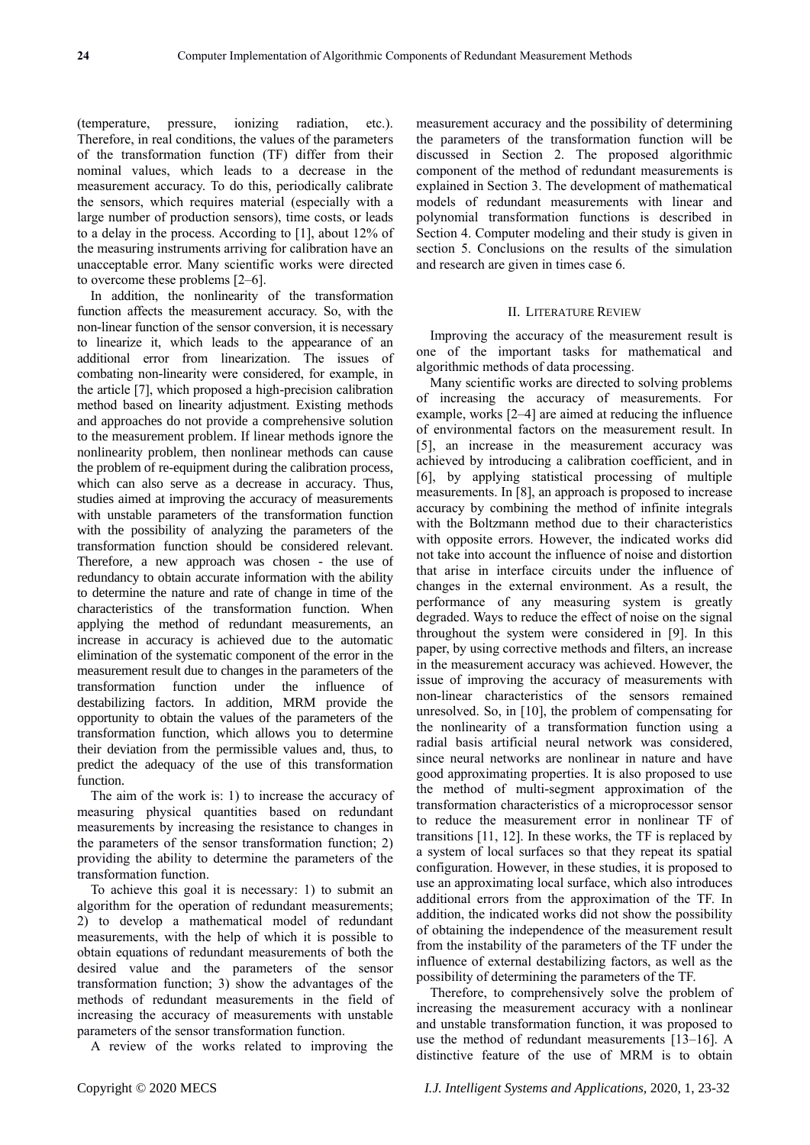(temperature, pressure, ionizing radiation, etc.). Therefore, in real conditions, the values of the parameters of the transformation function (TF) differ from their nominal values, which leads to a decrease in the measurement accuracy. To do this, periodically calibrate the sensors, which requires material (especially with a large number of production sensors), time costs, or leads to a delay in the process. According to [1], about 12% of the measuring instruments arriving for calibration have an unacceptable error. Many scientific works were directed to overcome these problems [2–6].

In addition, the nonlinearity of the transformation function affects the measurement accuracy. So, with the non-linear function of the sensor conversion, it is necessary to linearize it, which leads to the appearance of an additional error from linearization. The issues of combating non-linearity were considered, for example, in the article [7], which proposed a high-precision calibration method based on linearity adjustment. Existing methods and approaches do not provide a comprehensive solution to the measurement problem. If linear methods ignore the nonlinearity problem, then nonlinear methods can cause the problem of re-equipment during the calibration process, which can also serve as a decrease in accuracy. Thus, studies aimed at improving the accuracy of measurements with unstable parameters of the transformation function with the possibility of analyzing the parameters of the transformation function should be considered relevant. Therefore, a new approach was chosen - the use of redundancy to obtain accurate information with the ability to determine the nature and rate of change in time of the characteristics of the transformation function. When applying the method of redundant measurements, an increase in accuracy is achieved due to the automatic elimination of the systematic component of the error in the measurement result due to changes in the parameters of the transformation function under the influence of destabilizing factors. In addition, MRM provide the opportunity to obtain the values of the parameters of the transformation function, which allows you to determine their deviation from the permissible values and, thus, to predict the adequacy of the use of this transformation function.

The aim of the work is: 1) to increase the accuracy of measuring physical quantities based on redundant measurements by increasing the resistance to changes in the parameters of the sensor transformation function; 2) providing the ability to determine the parameters of the transformation function.

To achieve this goal it is necessary: 1) to submit an algorithm for the operation of redundant measurements; 2) to develop a mathematical model of redundant measurements, with the help of which it is possible to obtain equations of redundant measurements of both the desired value and the parameters of the sensor transformation function; 3) show the advantages of the methods of redundant measurements in the field of increasing the accuracy of measurements with unstable parameters of the sensor transformation function.

A review of the works related to improving the

measurement accuracy and the possibility of determining the parameters of the transformation function will be discussed in Section 2. The proposed algorithmic component of the method of redundant measurements is explained in Section 3. The development of mathematical models of redundant measurements with linear and polynomial transformation functions is described in Section 4. Computer modeling and their study is given in section 5. Conclusions on the results of the simulation and research are given in times case 6.

## II. LITERATURE REVIEW

Improving the accuracy of the measurement result is one of the important tasks for mathematical and algorithmic methods of data processing.

Many scientific works are directed to solving problems of increasing the accuracy of measurements. For example, works [2–4] are aimed at reducing the influence of environmental factors on the measurement result. In [5], an increase in the measurement accuracy was achieved by introducing a calibration coefficient, and in [6], by applying statistical processing of multiple measurements. In [8], an approach is proposed to increase accuracy by combining the method of infinite integrals with the Boltzmann method due to their characteristics with opposite errors. However, the indicated works did not take into account the influence of noise and distortion that arise in interface circuits under the influence of changes in the external environment. As a result, the performance of any measuring system is greatly degraded. Ways to reduce the effect of noise on the signal throughout the system were considered in [9]. In this paper, by using corrective methods and filters, an increase in the measurement accuracy was achieved. However, the issue of improving the accuracy of measurements with non-linear characteristics of the sensors remained unresolved. So, in [10], the problem of compensating for the nonlinearity of a transformation function using a radial basis artificial neural network was considered, since neural networks are nonlinear in nature and have good approximating properties. It is also proposed to use the method of multi-segment approximation of the transformation characteristics of a microprocessor sensor to reduce the measurement error in nonlinear TF of transitions [11, 12]. In these works, the TF is replaced by a system of local surfaces so that they repeat its spatial configuration. However, in these studies, it is proposed to use an approximating local surface, which also introduces additional errors from the approximation of the TF. In addition, the indicated works did not show the possibility of obtaining the independence of the measurement result from the instability of the parameters of the TF under the influence of external destabilizing factors, as well as the possibility of determining the parameters of the TF.

Therefore, to comprehensively solve the problem of increasing the measurement accuracy with a nonlinear and unstable transformation function, it was proposed to use the method of redundant measurements [13–16]. A distinctive feature of the use of MRM is to obtain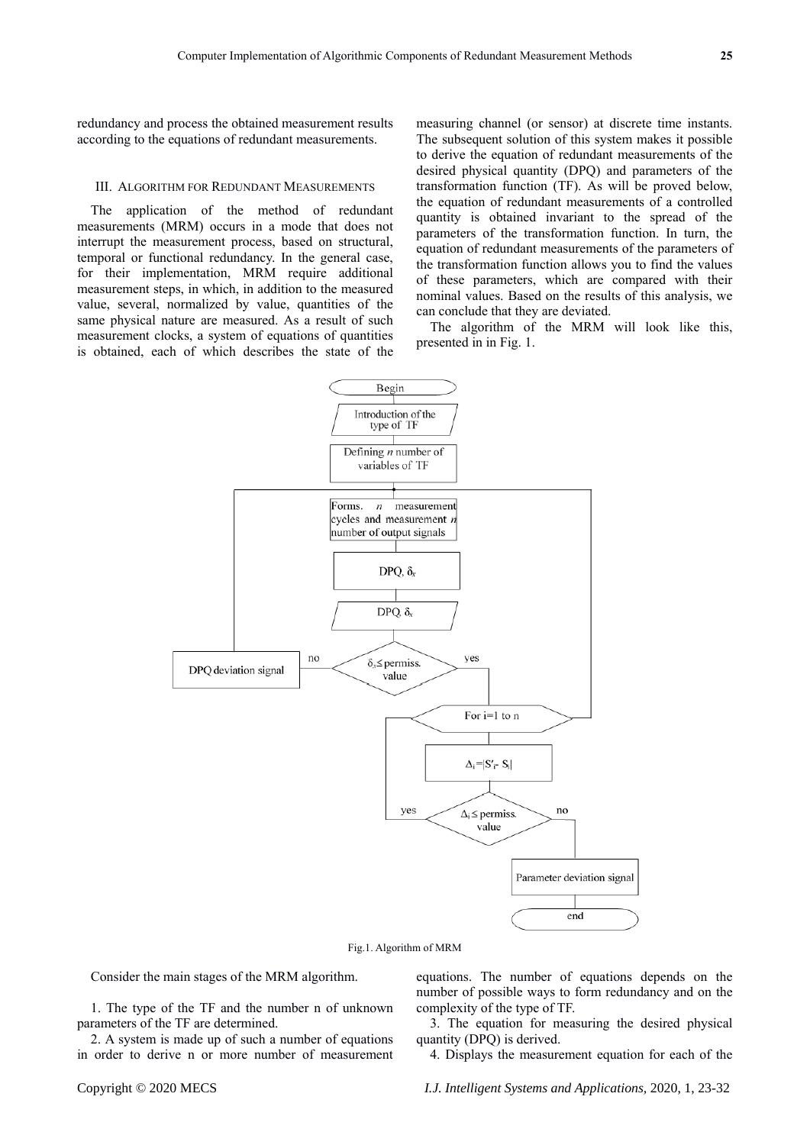redundancy and process the obtained measurement results according to the equations of redundant measurements.

### III. ALGORITHM FOR REDUNDANT MEASUREMENTS

The application of the method of redundant measurements (MRM) occurs in a mode that does not interrupt the measurement process, based on structural, temporal or functional redundancy. In the general case, for their implementation, MRM require additional measurement steps, in which, in addition to the measured value, several, normalized by value, quantities of the same physical nature are measured. As a result of such measurement clocks, a system of equations of quantities is obtained, each of which describes the state of the measuring channel (or sensor) at discrete time instants. The subsequent solution of this system makes it possible to derive the equation of redundant measurements of the desired physical quantity (DPQ) and parameters of the transformation function (TF). As will be proved below, the equation of redundant measurements of a controlled quantity is obtained invariant to the spread of the parameters of the transformation function. In turn, the equation of redundant measurements of the parameters of the transformation function allows you to find the values of these parameters, which are compared with their nominal values. Based on the results of this analysis, we can conclude that they are deviated.

The algorithm of the MRM will look like this, presented in in Fig. 1.



Fig.1. Algorithm of MRM

Consider the main stages of the MRM algorithm.

1. The type of the TF and the number n of unknown parameters of the TF are determined.

2. A system is made up of such a number of equations in order to derive n or more number of measurement

equations. The number of equations depends on the number of possible ways to form redundancy and on the complexity of the type of TF.

3. The equation for measuring the desired physical quantity (DPQ) is derived.

4. Displays the measurement equation for each of the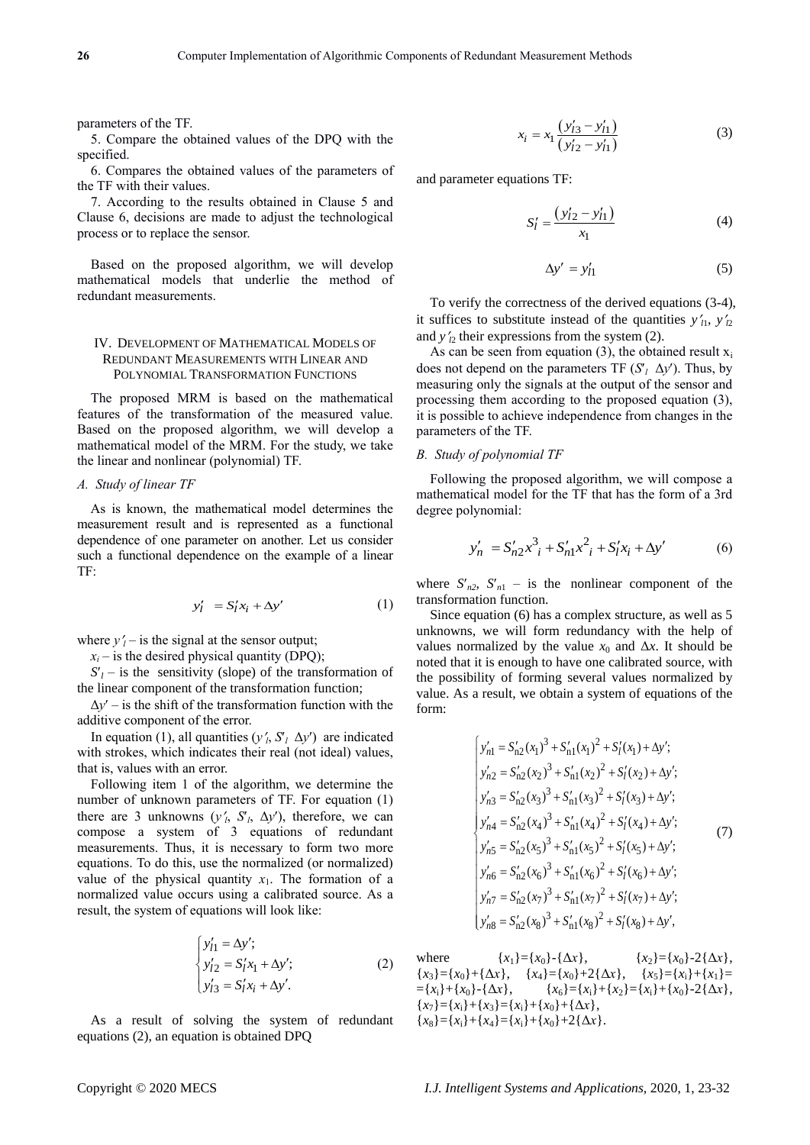parameters of the TF.

5. Compare the obtained values of the DPQ with the specified.

6. Compares the obtained values of the parameters of the TF with their values.

7. According to the results obtained in Clause 5 and Clause 6, decisions are made to adjust the technological process or to replace the sensor.

Based on the proposed algorithm, we will develop mathematical models that underlie the method of redundant measurements.

## IV. DEVELOPMENT OF MATHEMATICAL MODELS OF REDUNDANT MEASUREMENTS WITH LINEAR AND POLYNOMIAL TRANSFORMATION FUNCTIONS

The proposed MRM is based on the mathematical features of the transformation of the measured value. Based on the proposed algorithm, we will develop a mathematical model of the MRM. For the study, we take the linear and nonlinear (polynomial) TF.

## *A. Study of linear TF*

As is known, the mathematical model determines the measurement result and is represented as a functional dependence of one parameter on another. Let us consider such a functional dependence on the example of a linear TF:

$$
y'_l = S'_l x_i + \Delta y' \tag{1}
$$

where  $y'_i$  – is the signal at the sensor output;

 $x_i$  – is the desired physical quantity (DPQ);

 $S_l$  – is the sensitivity (slope) of the transformation of the linear component of the transformation function;

 $\Delta y'$  – is the shift of the transformation function with the additive component of the error.

In equation (1), all quantities  $(y'_i, S'_i \Delta y')$  are indicated with strokes, which indicates their real (not ideal) values, that is, values with an error.

Following item 1 of the algorithm, we determine the number of unknown parameters of TF. For equation (1) there are 3 unknowns  $(y'_i, S'_i, \Delta y')$ , therefore, we can compose a system of 3 equations of redundant measurements. Thus, it is necessary to form two more equations. To do this, use the normalized (or normalized) value of the physical quantity  $x_1$ . The formation of a normalized value occurs using a calibrated source. As a result, the system of equations will look like:

$$
\begin{cases}\ny'_{l1} = \Delta y'; \\
y'_{l2} = S_l' x_1 + \Delta y'; \\
y'_{l3} = S_l' x_i + \Delta y'.\n\end{cases}
$$
\n(2)

As a result of solving the system of redundant equations (2), an equation is obtained DPQ

$$
x_i = x_1 \frac{(y'_{13} - y'_{11})}{(y'_{12} - y'_{11})}
$$
 (3)

and parameter equations TF:

$$
S'_l = \frac{(y'_{l2} - y'_{l1})}{x_1} \tag{4}
$$

$$
\Delta y' = y'_{l1} \tag{5}
$$

To verify the correctness of the derived equations (3-4), it suffices to substitute instead of the quantities  $y'_1$ ,  $y'_2$ and  $y'_p$  their expressions from the system (2).

As can be seen from equation (3), the obtained result  $x_i$ does not depend on the parameters TF  $(S_l \Delta y')$ . Thus, by measuring only the signals at the output of the sensor and processing them according to the proposed equation (3), it is possible to achieve independence from changes in the parameters of the TF.

## *B. Study of polynomial TF*

Following the proposed algorithm, we will compose a mathematical model for the TF that has the form of a 3rd degree polynomial:

$$
y'_{n} = S'_{n2}x^{3}_{i} + S'_{n1}x^{2}_{i} + S'_{l}x_{i} + \Delta y'
$$
 (6)

where  $S'_{n2}$ ,  $S'_{n1}$  – is the nonlinear component of the transformation function.

Since equation (6) has a complex structure, as well as 5 unknowns, we will form redundancy with the help of values normalized by the value  $x_0$  and  $\Delta x$ . It should be noted that it is enough to have one calibrated source, with the possibility of forming several values normalized by value. As a result, we obtain a system of equations of the form:

$$
\begin{cases}\ny'_{n1} = S'_{n2}(x_1)^3 + S'_{n1}(x_1)^2 + S'_{l}(x_1) + \Delta y';\ny'_{n2} = S'_{n2}(x_2)^3 + S'_{n1}(x_2)^2 + S'_{l}(x_2) + \Delta y';\ny'_{n3} = S'_{n2}(x_3)^3 + S'_{n1}(x_3)^2 + S'_{l}(x_3) + \Delta y';\ny'_{n4} = S'_{n2}(x_4)^3 + S'_{n1}(x_4)^2 + S'_{l}(x_4) + \Delta y';\ny'_{n5} = S'_{n2}(x_5)^3 + S'_{n1}(x_5)^2 + S'_{l}(x_5) + \Delta y';\ny'_{n6} = S'_{n2}(x_6)^3 + S'_{n1}(x_6)^2 + S'_{l}(x_6) + \Delta y';\ny'_{n7} = S'_{n2}(x_7)^3 + S'_{n1}(x_7)^2 + S'_{l}(x_7) + \Delta y';\ny'_{n8} = S'_{n2}(x_8)^3 + S'_{n1}(x_8)^2 + S'_{l}(x_8) + \Delta y',\n\end{cases}
$$
(7)

where  ${x_1} = {x_0} - {\Delta x}$ ,  ${x_2} = {x_0} - 2{\Delta x}$ ,  ${x_3} = {x_0} + {\Delta x}$ ,  ${x_4} = {x_0} + 2{\Delta x}$ ,  ${x_5} = {x_i} + {x_1} =$  $= \{x_i\} + \{x_0\} - \{\Delta x\}, \qquad \{x_6\} = \{x_i\} + \{x_2\} = \{x_i\} + \{x_0\} - 2\{\Delta x\},$  ${x_7}=\{x_1\}+\{x_3\}=\{x_1\}+\{x_0\}+\{\Delta x\},\$  ${x_8}=\{x_1\}+\{x_4\}=\{x_1\}+\{x_0\}+2{\{\Delta x\}}.$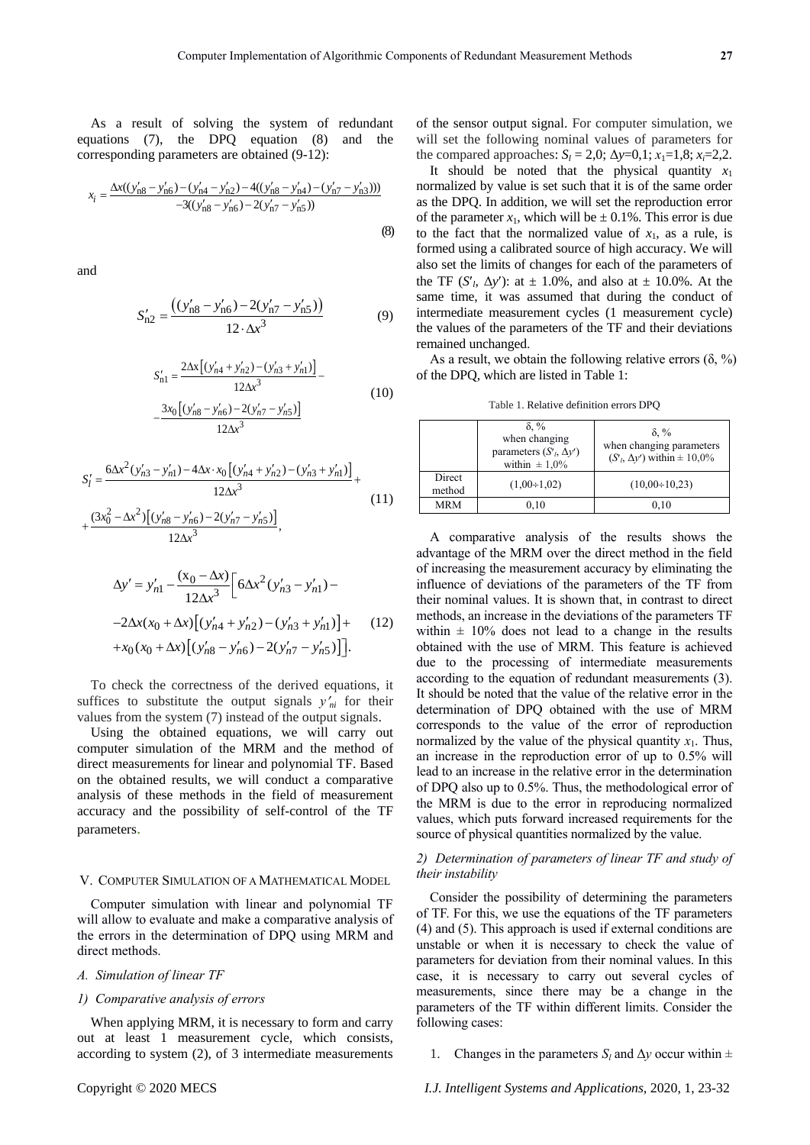(8)

As a result of solving the system of redundant equations (7), the DPQ equation (8) and the

corresponding parameters are obtained (9-12):  

$$
x_i = \frac{\Delta x((y'_{n8} - y'_{n6}) - (y'_{n4} - y'_{n2}) - 4((y'_{n8} - y'_{n4}) - (y'_{n7} - y'_{n3})))}{-3((y'_{n8} - y'_{n6}) - 2(y'_{n7} - y'_{n5}))}
$$

and

$$
S'_{n2} = \frac{((y'_{n8} - y'_{n6}) - 2(y'_{n7} - y'_{n5}))}{12 \cdot \Delta x^3}
$$
(9)

$$
S'_{n1} = \frac{2\Delta x \left[ (y'_{n4} + y'_{n2}) - (y'_{n3} + y'_{n1}) \right]}{12\Delta x^3} - \frac{3x_0 \left[ (y'_{n8} - y'_{n6}) - 2(y'_{n7} - y'_{n5}) \right]}{12\Delta x^3}
$$
(10)

$$
S'_{l} = \frac{6\Delta x^{2}(y'_{n3} - y'_{n1}) - 4\Delta x \cdot x_{0} \left[ (y'_{n4} + y'_{n2}) - (y'_{n3} + y'_{n1}) \right]}{12\Delta x^{3}} + \frac{(3x_{0}^{2} - \Delta x^{2}) \left[ (y'_{n8} - y'_{n6}) - 2(y'_{n7} - y'_{n5}) \right]}{12\Delta x^{3}},
$$
\n(11)

$$
\Delta y' = y'_{n1} - \frac{(x_0 - \Delta x)}{12\Delta x^3} \Big[ 6\Delta x^2 (y'_{n3} - y'_{n1}) -
$$
  
-2 $\Delta x (x_0 + \Delta x) \Big[ (y'_{n4} + y'_{n2}) - (y'_{n3} + y'_{n1}) \Big] +$   
+ $x_0 (x_0 + \Delta x) \Big[ (y'_{n8} - y'_{n6}) - 2(y'_{n7} - y'_{n5}) \Big] \Big].$  (12)

To check the correctness of the derived equations, it suffices to substitute the output signals  $y'_n$  for their values from the system (7) instead of the output signals.

Using the obtained equations, we will carry out computer simulation of the MRM and the method of direct measurements for linear and polynomial TF. Based on the obtained results, we will conduct a comparative analysis of these methods in the field of measurement accuracy and the possibility of self-control of the TF parameters.

#### V. COMPUTER SIMULATION OF A MATHEMATICAL MODEL

Computer simulation with linear and polynomial TF will allow to evaluate and make a comparative analysis of the errors in the determination of DPQ using MRM and direct methods.

## *А. Simulation of linear TF*

## *1) Comparative analysis of errors*

When applying MRM, it is necessary to form and carry out at least 1 measurement cycle, which consists, according to system (2), of 3 intermediate measurements

of the sensor output signal. For computer simulation, we will set the following nominal values of parameters for the compared approaches:  $S_l = 2.0$ ;  $\Delta y = 0.1$ ;  $x_1 = 1.8$ ;  $x_i = 2.2$ .

It should be noted that the physical quantity  $x_1$ normalized by value is set such that it is of the same order as the DPQ. In addition, we will set the reproduction error of the parameter  $x_1$ , which will be  $\pm 0.1\%$ . This error is due to the fact that the normalized value of  $x_1$ , as a rule, is formed using a calibrated source of high accuracy. We will also set the limits of changes for each of the parameters of the TF  $(S<sub>l</sub>, \Delta y')$ : at  $\pm 1.0$ %, and also at  $\pm 10.0$ %. At the same time, it was assumed that during the conduct of intermediate measurement cycles (1 measurement cycle) the values of the parameters of the TF and their deviations remained unchanged.

As a result, we obtain the following relative errors  $(\delta, \%)$ of the DPQ, which are listed in Table 1:

Table 1. Relative definition errors DPQ

|                  | $\delta$ . %<br>when changing<br>parameters $(S1, \Delta y')$<br>within $\pm 1.0\%$ | $\delta$ . %<br>when changing parameters<br>$(S1, \Delta y')$ within $\pm 10,0\%$ |
|------------------|-------------------------------------------------------------------------------------|-----------------------------------------------------------------------------------|
| Direct<br>method | $(1,00+1,02)$                                                                       | $(10,00\div 10,23)$                                                               |
| <b>MRM</b>       | 0,10                                                                                | 0,10                                                                              |

A comparative analysis of the results shows the advantage of the MRM over the direct method in the field of increasing the measurement accuracy by eliminating the influence of deviations of the parameters of the TF from their nominal values. It is shown that, in contrast to direct methods, an increase in the deviations of the parameters TF within  $\pm$  10% does not lead to a change in the results obtained with the use of MRM. This feature is achieved due to the processing of intermediate measurements according to the equation of redundant measurements (3). It should be noted that the value of the relative error in the determination of DPQ obtained with the use of MRM corresponds to the value of the error of reproduction normalized by the value of the physical quantity  $x_1$ . Thus, an increase in the reproduction error of up to 0.5% will lead to an increase in the relative error in the determination of DPQ also up to 0.5%. Thus, the methodological error of the MRM is due to the error in reproducing normalized values, which puts forward increased requirements for the source of physical quantities normalized by the value.

## *2) Determination of parameters of linear TF and study of their instability*

Consider the possibility of determining the parameters of TF. For this, we use the equations of the TF parameters (4) and (5). This approach is used if external conditions are unstable or when it is necessary to check the value of parameters for deviation from their nominal values. In this case, it is necessary to carry out several cycles of measurements, since there may be a change in the parameters of the TF within different limits. Consider the following cases:

1. Changes in the parameters  $S_l$  and  $\Delta y$  occur within  $\pm$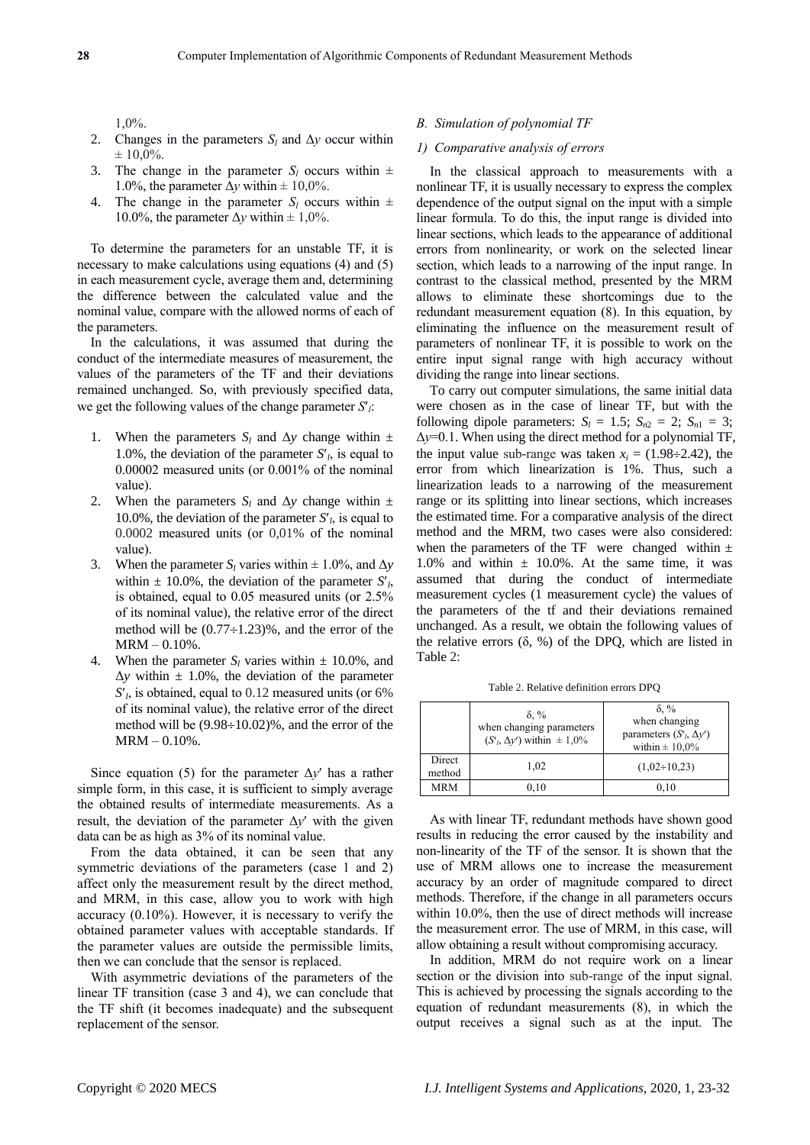1,0%.

- 2. Changes in the parameters  $S_l$  and  $\Delta y$  occur within  $\pm 10,0\%$ .
- 3. The change in the parameter  $S_l$  occurs within  $\pm$ 1.0%, the parameter  $\Delta y$  within  $\pm$  10,0%.
- 4. The change in the parameter  $S_l$  occurs within  $\pm$ 10.0%, the parameter  $\Delta y$  within  $\pm$  1,0%.

To determine the parameters for an unstable TF, it is necessary to make calculations using equations (4) and (5) in each measurement cycle, average them and, determining the difference between the calculated value and the nominal value, compare with the allowed norms of each of the parameters.

In the calculations, it was assumed that during the conduct of the intermediate measures of measurement, the values of the parameters of the TF and their deviations remained unchanged. So, with previously specified data, we get the following values of the change parameter *S<sup>l</sup>* :

- 1. When the parameters  $S_l$  and  $\Delta y$  change within  $\pm$ 1.0%, the deviation of the parameter  $S<sub>l</sub>$ , is equal to 0.00002 measured units (or 0.001% of the nominal value).
- 2. When the parameters  $S_l$  and  $\Delta y$  change within  $\pm$ 10.0%, the deviation of the parameter  $S<sub>l</sub>$ , is equal to 0.0002 measured units (or 0,01% of the nominal value).
- 3. When the parameter  $S_l$  varies within  $\pm 1.0\%$ , and  $\Delta y$ within  $\pm$  10.0%, the deviation of the parameter  $S<sub>l</sub>$ , is obtained, equal to 0.05 measured units (or 2.5% of its nominal value), the relative error of the direct method will be  $(0.77 \div 1.23)$ %, and the error of the  $MRM - 0.10%$ .
- 4. When the parameter  $S_l$  varies within  $\pm$  10.0%, and  $\Delta y$  within  $\pm 1.0\%$ , the deviation of the parameter *Sl* , is obtained, equal to 0.12 measured units (or 6% of its nominal value), the relative error of the direct method will be  $(9.98 \div 10.02)$ %, and the error of the  $MRM - 0.10%$ .

Since equation (5) for the parameter  $\Delta y'$  has a rather simple form, in this case, it is sufficient to simply average the obtained results of intermediate measurements. As a result, the deviation of the parameter  $\Delta y'$  with the given data can be as high as 3% of its nominal value.

From the data obtained, it can be seen that any symmetric deviations of the parameters (case 1 and 2) affect only the measurement result by the direct method, and MRM, in this case, allow you to work with high accuracy (0.10%). However, it is necessary to verify the obtained parameter values with acceptable standards. If the parameter values are outside the permissible limits, then we can conclude that the sensor is replaced.

With asymmetric deviations of the parameters of the linear TF transition (case 3 and 4), we can conclude that the TF shift (it becomes inadequate) and the subsequent replacement of the sensor.

## *В. Simulation of polynomial TF*

## *1) Comparative analysis of errors*

In the classical approach to measurements with a nonlinear TF, it is usually necessary to express the complex dependence of the output signal on the input with a simple linear formula. To do this, the input range is divided into linear sections, which leads to the appearance of additional errors from nonlinearity, or work on the selected linear section, which leads to a narrowing of the input range. In contrast to the classical method, presented by the MRM allows to eliminate these shortcomings due to the redundant measurement equation (8). In this equation, by eliminating the influence on the measurement result of parameters of nonlinear TF, it is possible to work on the entire input signal range with high accuracy without dividing the range into linear sections.

To carry out computer simulations, the same initial data were chosen as in the case of linear TF, but with the following dipole parameters:  $S_l = 1.5$ ;  $S_{n2} = 2$ ;  $S_{n1} = 3$ ; Δ*y*=0.1. When using the direct method for a polynomial TF, the input value sub-range was taken  $x_i = (1.98 \div 2.42)$ , the error from which linearization is 1%. Thus, such a linearization leads to a narrowing of the measurement range or its splitting into linear sections, which increases the estimated time. For a comparative analysis of the direct method and the MRM, two cases were also considered: when the parameters of the TF were changed within  $\pm$ 1.0% and within  $\pm$  10.0%. At the same time, it was assumed that during the conduct of intermediate measurement cycles (1 measurement cycle) the values of the parameters of the tf and their deviations remained unchanged. As a result, we obtain the following values of the relative errors  $(δ, %)$  of the DPQ, which are listed in Table 2:

Table 2. Relative definition errors DPQ

|                  | $\delta$ . %<br>when changing parameters<br>$(S'_1, \Delta y')$ within $\pm 1.0\%$ | $\delta$ , %<br>when changing<br>parameters $(Sl, \Delta y')$<br>within $\pm 10.0\%$ |
|------------------|------------------------------------------------------------------------------------|--------------------------------------------------------------------------------------|
| Direct<br>method | 1,02                                                                               | $(1,02\div 10,23)$                                                                   |
| <b>MRM</b>       | 0.10                                                                               | 0.10                                                                                 |

As with linear TF, redundant methods have shown good results in reducing the error caused by the instability and non-linearity of the TF of the sensor. It is shown that the use of MRM allows one to increase the measurement accuracy by an order of magnitude compared to direct methods. Therefore, if the change in all parameters occurs within 10.0%, then the use of direct methods will increase the measurement error. The use of MRM, in this case, will allow obtaining a result without compromising accuracy.

In addition, MRM do not require work on a linear section or the division into sub-range of the input signal. This is achieved by processing the signals according to the equation of redundant measurements (8), in which the output receives a signal such as at the input. The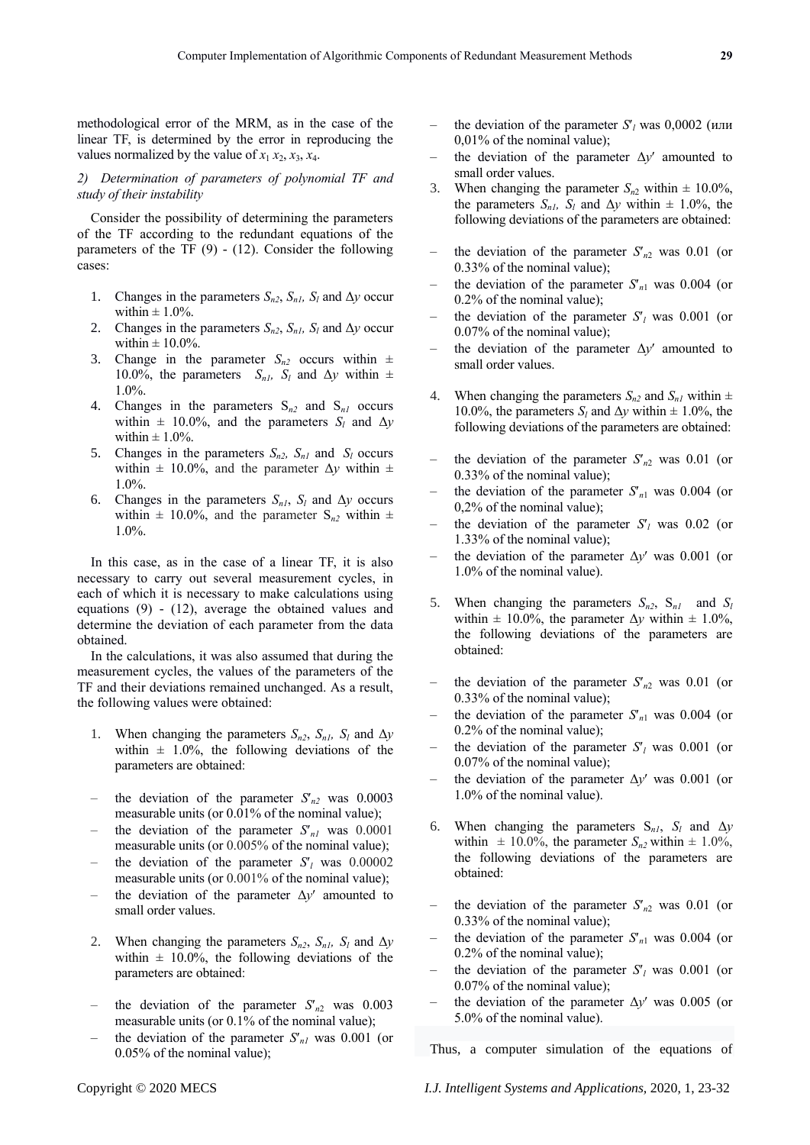methodological error of the MRM, as in the case of the linear TF, is determined by the error in reproducing the values normalized by the value of  $x_1 x_2, x_3, x_4$ .

## *2) Determination of parameters of polynomial TF and study of their instability*

Consider the possibility of determining the parameters of the TF according to the redundant equations of the parameters of the TF  $(9)$  -  $(12)$ . Consider the following cases:

- 1. Changes in the parameters  $S_{n2}$ ,  $S_{n1}$ ,  $S_l$  and  $\Delta y$  occur within  $\pm 1.0\%$ .
- 2. Changes in the parameters  $S_{n2}$ ,  $S_{n1}$ ,  $S_l$  and  $\Delta y$  occur within  $\pm$  10.0%.
- 3. Change in the parameter  $S_{n2}$  occurs within  $\pm$ 10.0%, the parameters  $S_{n,l}$ ,  $S_l$  and  $\Delta y$  within  $\pm$ 1.0%.
- 4. Changes in the parameters  $S_{n2}$  and  $S_{n1}$  occurs within  $\pm$  10.0%, and the parameters  $S_l$  and  $\Delta y$ within  $\pm$  1.0%.
- 5. Changes in the parameters  $S_{n2}$ ,  $S_{n1}$  and  $S_l$  occurs within  $\pm$  10.0%, and the parameter  $\Delta y$  within  $\pm$ 1.0%.
- 6. Changes in the parameters  $S_{n,l}$ ,  $S_l$  and  $\Delta y$  occurs within  $\pm$  10.0%, and the parameter S<sub>n2</sub> within  $\pm$ 1.0%.

In this case, as in the case of a linear TF, it is also necessary to carry out several measurement cycles, in each of which it is necessary to make calculations using equations (9) - (12), average the obtained values and determine the deviation of each parameter from the data obtained.

In the calculations, it was also assumed that during the measurement cycles, the values of the parameters of the TF and their deviations remained unchanged. As a result, the following values were obtained:

- 1. When changing the parameters  $S_{n2}$ ,  $S_{n1}$ ,  $S_l$  and  $\Delta y$ within  $\pm$  1.0%, the following deviations of the parameters are obtained:
- the deviation of the parameter  $S'_{n2}$  was 0.0003 measurable units (or 0.01% of the nominal value);
- the deviation of the parameter  $S<sub>nl</sub>$  was 0.0001 measurable units (or 0.005% of the nominal value);
- the deviation of the parameter  $S<sub>l</sub>$  was 0.00002 measurable units (or 0.001% of the nominal value);
- the deviation of the parameter  $\Delta y'$  amounted to small order values.
- 2. When changing the parameters  $S_{n2}$ ,  $S_{n1}$ ,  $S_l$  and  $\Delta y$ within  $\pm$  10.0%, the following deviations of the parameters are obtained:
- the deviation of the parameter  $S'_{n2}$  was 0.003 measurable units (or 0.1% of the nominal value);
- the deviation of the parameter  $S'_{nl}$  was 0.001 (or 0.05% of the nominal value);
- the deviation of the parameter  $S_l$  was 0,0002 (или 0,01% of the nominal value);
- the deviation of the parameter  $\Delta y'$  amounted to small order values.
- 3. When changing the parameter  $S_{n2}$  within  $\pm$  10.0%, the parameters  $S_{n,l}$ ,  $S_l$  and  $\Delta y$  within  $\pm$  1.0%, the following deviations of the parameters are obtained:
- the deviation of the parameter  $S'_{n2}$  was 0.01 (or 0.33% of the nominal value);
- the deviation of the parameter  $S'_{n1}$  was 0.004 (or 0.2% of the nominal value);
- the deviation of the parameter  $S_l$  was 0.001 (or 0.07% of the nominal value);
- the deviation of the parameter  $\Delta y'$  amounted to small order values.
- When changing the parameters  $S_{n2}$  and  $S_{n1}$  within  $\pm$ 10.0%, the parameters  $S_l$  and  $\Delta y$  within  $\pm$  1.0%, the following deviations of the parameters are obtained:
- the deviation of the parameter  $S'_{n2}$  was 0.01 (or 0.33% of the nominal value);
- the deviation of the parameter  $S'_{n1}$  was 0.004 (or 0,2% of the nominal value);
- the deviation of the parameter  $S_l$  was 0.02 (or 1.33% of the nominal value);
- the deviation of the parameter  $\Delta y'$  was 0.001 (or 1.0% of the nominal value).
- 5. When changing the parameters  $S_{n2}$ ,  $S_{n1}$  and  $S_l$ within  $\pm$  10.0%, the parameter  $\Delta y$  within  $\pm$  1.0%, the following deviations of the parameters are obtained:
- the deviation of the parameter  $S'_{n2}$  was 0.01 (or 0.33% of the nominal value);
- the deviation of the parameter  $S'_{n1}$  was 0.004 (or 0.2% of the nominal value);
- the deviation of the parameter  $S_l$  was 0.001 (or 0.07% of the nominal value);
- the deviation of the parameter  $\Delta y'$  was 0.001 (or 1.0% of the nominal value).
- 6. When changing the parameters  $S_{nl}$ ,  $S_l$  and  $\Delta y$ within  $\pm 10.0\%$ , the parameter  $S_{n2}$  within  $\pm 1.0\%$ , the following deviations of the parameters are obtained:
- the deviation of the parameter  $S'_{n2}$  was 0.01 (or 0.33% of the nominal value);
- the deviation of the parameter  $S'_n$  was 0.004 (or 0.2% of the nominal value);
- the deviation of the parameter  $S_l$  was 0.001 (or 0.07% of the nominal value);
- the deviation of the parameter  $\Delta y'$  was 0.005 (or 5.0% of the nominal value).

Thus, a computer simulation of the equations of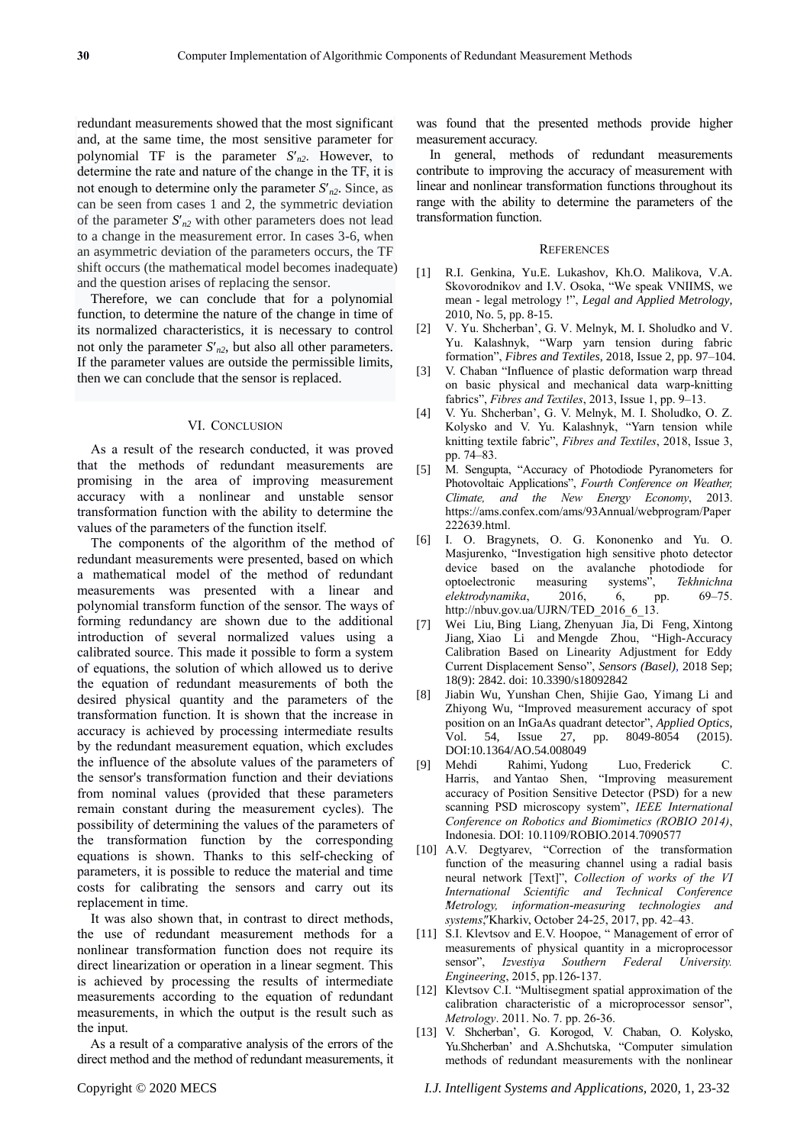redundant measurements showed that the most significant and, at the same time, the most sensitive parameter for polynomial TF is the parameter  $S'_{n2}$ . However, to determine the rate and nature of the change in the TF, it is not enough to determine only the parameter  $S<sub>n2</sub>$ . Since, as can be seen from cases 1 and 2, the symmetric deviation of the parameter  $S'_{n2}$  with other parameters does not lead to a change in the measurement error. In cases 3-6, when an asymmetric deviation of the parameters occurs, the TF shift occurs (the mathematical model becomes inadequate) and the question arises of replacing the sensor.

Therefore, we can conclude that for a polynomial function, to determine the nature of the change in time of its normalized characteristics, it is necessary to control not only the parameter  $S'_{n2}$ , but also all other parameters. If the parameter values are outside the permissible limits, then we can conclude that the sensor is replaced.

## VI. CONCLUSION

As a result of the research conducted, it was proved that the methods of redundant measurements are promising in the area of improving measurement accuracy with a nonlinear and unstable sensor transformation function with the ability to determine the values of the parameters of the function itself.

The components of the algorithm of the method of redundant measurements were presented, based on which a mathematical model of the method of redundant measurements was presented with a linear and polynomial transform function of the sensor. The ways of forming redundancy are shown due to the additional introduction of several normalized values using a calibrated source. This made it possible to form a system of equations, the solution of which allowed us to derive the equation of redundant measurements of both the desired physical quantity and the parameters of the transformation function. It is shown that the increase in accuracy is achieved by processing intermediate results by the redundant measurement equation, which excludes the influence of the absolute values of the parameters of the sensor's transformation function and their deviations from nominal values (provided that these parameters remain constant during the measurement cycles). The possibility of determining the values of the parameters of the transformation function by the corresponding equations is shown. Thanks to this self-checking of parameters, it is possible to reduce the material and time costs for calibrating the sensors and carry out its replacement in time.

It was also shown that, in contrast to direct methods, the use of redundant measurement methods for a nonlinear transformation function does not require its direct linearization or operation in a linear segment. This is achieved by processing the results of intermediate measurements according to the equation of redundant measurements, in which the output is the result such as the input.

As a result of a comparative analysis of the errors of the direct method and the method of redundant measurements, it was found that the presented methods provide higher measurement accuracy.

In general, methods of redundant measurements contribute to improving the accuracy of measurement with linear and nonlinear transformation functions throughout its range with the ability to determine the parameters of the transformation function.

#### **REFERENCES**

- [1] R.I. Genkina, Yu.E. Lukashov, Kh.O. Malikova, V.A. Skovorodnikov and I.V. Osoka, "We speak VNIIMS, we mean - legal metrology !", *Legal and Applied Metrology*, 2010, No. 5, pp. 8-15.
- [2] V. Yu. Shcherban', G. V. Melnyk, M. I. Sholudko and V. Yu. Kalashnyk, "Warp yarn tension during fabric formation", *Fibres and Textiles*, 2018, Issue 2, pp. 97–104.
- [3] V. Chaban "Influence of plastic deformation warp thread on basic physical and mechanical data warp-knitting fabrics", *Fibres and Textiles*, 2013, Issue 1, pp. 9–13.
- [4] V. Yu. Shcherban', G. V. Melnyk, M. I. Sholudko, O. Z. Kolysko and V. Yu. Kalashnyk, "Yarn tension while knitting textile fabric", *Fibres and Textiles*, 2018, Issue 3, pp. 74–83.
- [5] M. Sengupta, "Accuracy of Photodiode Pyranometers for Photovoltaic Applications", *Fourth Conference on Weather, Climate, and the New Energy Economy*, 2013. [https://ams.confex.com/ams/93Annual/webprogram/Paper](https://ams.confex.com/ams/93Annual/webprogram/Paper222639.html) [222639.html.](https://ams.confex.com/ams/93Annual/webprogram/Paper222639.html)
- [6] I. O. Bragynets, O. G. Kononenko and Yu. О. Masjurenko, "Investigation high sensitive photo detector device based on the avalanche photodiode for optoelectronic measuring systems", *Tekhnichna elektrodynamika*, 2016, 6, pp. 69–75. [http://nbuv.gov.ua/UJRN/TED\\_2016\\_6\\_13.](http://nbuv.gov.ua/UJRN/TED_2016_6_13)
- [7] [Wei Liu,](https://www.ncbi.nlm.nih.gov/pubmed/?term=Liu%20W%5BAuthor%5D&cauthor=true&cauthor_uid=30154354) [Bing Liang,](https://www.ncbi.nlm.nih.gov/pubmed/?term=Liang%20B%5BAuthor%5D&cauthor=true&cauthor_uid=30154354) [Zhenyuan Jia,](https://www.ncbi.nlm.nih.gov/pubmed/?term=Jia%20Z%5BAuthor%5D&cauthor=true&cauthor_uid=30154354) [Di Feng,](https://www.ncbi.nlm.nih.gov/pubmed/?term=Feng%20D%5BAuthor%5D&cauthor=true&cauthor_uid=30154354) [Xintong](https://www.ncbi.nlm.nih.gov/pubmed/?term=Jiang%20X%5BAuthor%5D&cauthor=true&cauthor_uid=30154354)  [Jiang,](https://www.ncbi.nlm.nih.gov/pubmed/?term=Jiang%20X%5BAuthor%5D&cauthor=true&cauthor_uid=30154354) [Xiao Li](https://www.ncbi.nlm.nih.gov/pubmed/?term=Li%20X%5BAuthor%5D&cauthor=true&cauthor_uid=30154354) and [Mengde Zhou,](https://www.ncbi.nlm.nih.gov/pubmed/?term=Zhou%20M%5BAuthor%5D&cauthor=true&cauthor_uid=30154354) "High-Accuracy Calibration Based on Linearity Adjustment for Eddy Current Displacement Senso", *[Sensors \(Basel\),](https://www.ncbi.nlm.nih.gov/pmc/articles/PMC6163380/)* 2018 Sep; 18(9): 2842. doi: [10.3390/s18092842](https://dx.doi.org/10.3390%2Fs18092842)
- [8] Jiabin Wu, Yunshan Chen, Shijie Gao, Yimang Li and Zhiyong Wu, "Improved measurement accuracy of spot position on an InGaAs quadrant detector", *Applied Optics*, Vol. 54, [Issue 27,](https://www.osapublishing.org/ao/issue.cfm?volume=54&issue=27) pp. 8049-8054 (2015). [DOI:10.1364/AO.54.008049](https://doi.org/10.1364/AO.54.008049)
- [9] [Mehdi Rahimi,](https://ieeexplore.ieee.org/author/37085381800) [Yudong Luo,](https://ieeexplore.ieee.org/author/37085381800) [Frederick C.](https://ieeexplore.ieee.org/author/37290871700)  [Harris,](https://ieeexplore.ieee.org/author/37290871700) and [Yantao Shen,](https://ieeexplore.ieee.org/author/37071876500) "Improving measurement accuracy of Position Sensitive Detector (PSD) for a new scanning PSD microscopy system", *[IEEE International](https://ieeexplore.ieee.org/xpl/conhome/7062021/proceeding)  [Conference on Robotics and Biomimetics \(ROBIO 2014\)](https://ieeexplore.ieee.org/xpl/conhome/7062021/proceeding)*, Indonesia. DOI: [10.1109/ROBIO.2014.7090577](https://doi.org/10.1109/ROBIO.2014.7090577)
- [10] A.V. Degtyarev, "Correction of the transformation function of the measuring channel using a radial basis neural network [Text]", *Collection of works of the VI International Scientific and Technical Conference "Metrology, information-measuring technologies and systems"*, Kharkiv, October 24-25, 2017, pp. 42–43.
- [11] S.I. Klevtsov and E.V. Hoopoe, "Management of error of measurements of physical quantity in a microprocessor sensor", *Izvestiya Southern Federal University. Engineering*, 2015, pp.126-137.
- [12] Klevtsov C.I. "Multisegment spatial approximation of the calibration characteristic of a microprocessor sensor", *Metrology*. 2011. No. 7. pp. 26-36.
- [13] V. Shcherban', G. Korogod, V. Chaban, O. Kolysko, Yu.Shcherban' and A.Shchutska, ["Computer simulation](http://journals.uran.ua/eejet/article/view/160830)  [methods of redundant measurements with the nonlinear](http://journals.uran.ua/eejet/article/view/160830)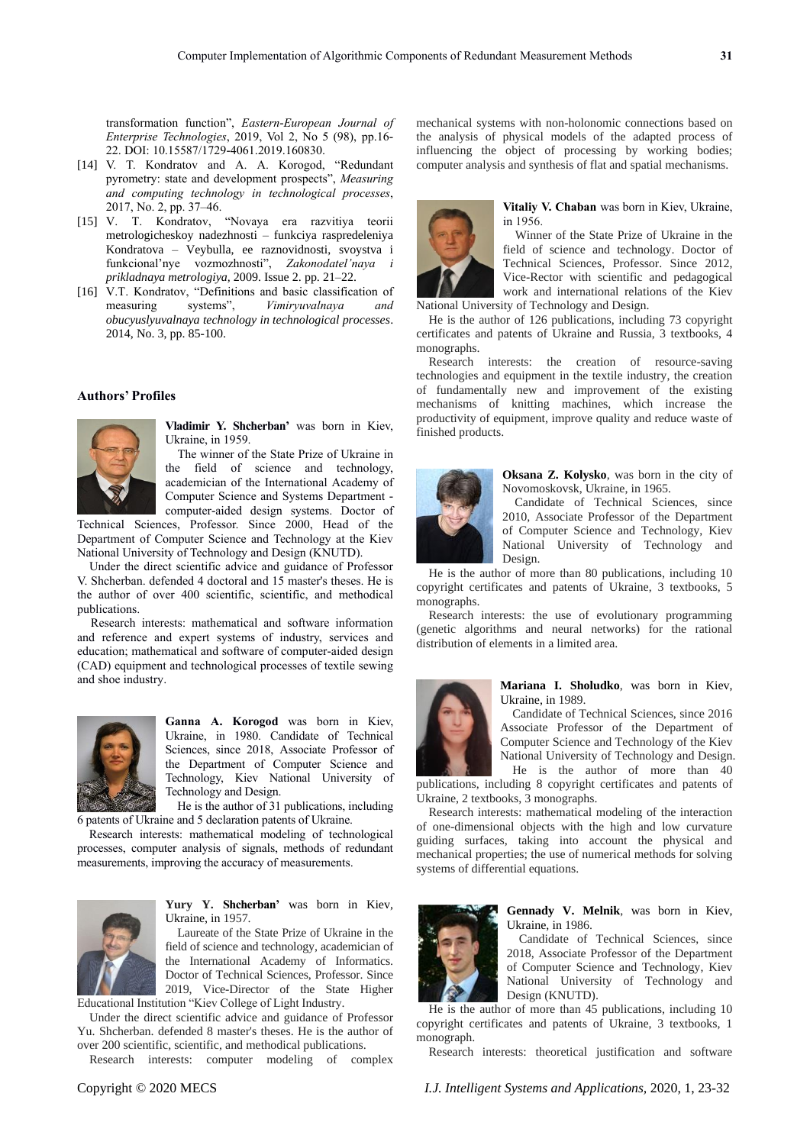[transformation function"](http://journals.uran.ua/eejet/article/view/160830), *Eastern-European Journal of Enterprise Technologies*, 2019, Vol 2, No 5 (98), рp.16- 22. DOI: 10.15587/1729-4061.2019.160830.

- [14] V. T. Kondratov and A. A. Korogod, "Redundant pyrometry: state and development prospects", *Measuring and computing technology in technological processes*, 2017, No. 2, pp. 37–46.
- [15] V. T. Kondratov, "Novaya era razvitiya teorii metrologicheskoy nadezhnosti – funkciya raspredeleniya Kondratova – Veybulla, ee raznovidnosti, svoystva i funkcional'nye vozmozhnosti", *Zakonodatel'naya i prikladnaya metrologiya,* 2009. Issue 2. pp. 21–22.
- [16] V.T. Kondratov, "Definitions and basic classification of measuring systems", *Vimіryuvalnaya and obucyuslyuvalnaya technology in technological processes*. 2014, No. 3, pp. 85-100.

## **Authors' Profiles**



**Vladimir Y. Shcherban'** was born in Kiev, Ukraine, in 1959.

The winner of the State Prize of Ukraine in the field of science and technology, academician of the International Academy of Computer Science and Systems Department computer-aided design systems. Doctor of

Technical Sciences, Professor. Since 2000, Head of the Department of Computer Science and Technology at the Kiev National University of Technology and Design (KNUTD).

Under the direct scientific advice and guidance of Professor V. Shcherban. defended 4 doctoral and 15 master's theses. He is the author of over 400 scientific, scientific, and methodical publications.

Research interests: mathematical and software information and reference and expert systems of industry, services and education; mathematical and software of computer-aided design (CAD) equipment and technological processes of textile sewing and shoe industry.



**Ganna A. Korogod** was born in Kiev, Ukraine, in 1980. Candidate of Technical Sciences, since 2018, Associate Professor of the Department of Computer Science and Technology, Kiev National University of Technology and Design.

He is the author of 31 publications, including 6 patents of Ukraine and 5 declaration patents of Ukraine.

Research interests: mathematical modeling of technological processes, computer analysis of signals, methods of redundant measurements, improving the accuracy of measurements.



**Yury Y. Shcherban'** was born in Kiev, Ukraine, in 1957.

Laureate of the State Prize of Ukraine in the field of science and technology, academician of the International Academy of Informatics. Doctor of Technical Sciences, Professor. Since 2019, Vice-Director of the State Higher

Educational Institution "Kiev College of Light Industry.

Under the direct scientific advice and guidance of Professor Yu. Shcherban. defended 8 master's theses. He is the author of over 200 scientific, scientific, and methodical publications.

Research interests: computer modeling of complex

mechanical systems with non-holonomic connections based on the analysis of physical models of the adapted process of influencing the object of processing by working bodies; computer analysis and synthesis of flat and spatial mechanisms.



**Vitaliy V. Chaban** was born in Kiev, Ukraine, in 1956.

Winner of the State Prize of Ukraine in the field of science and technology. Doctor of Technical Sciences, Professor. Since 2012, Vice-Rector with scientific and pedagogical work and international relations of the Kiev National University of Technology and Design.

He is the author of 126 publications, including 73 copyright certificates and patents of Ukraine and Russia, 3 textbooks, 4 monographs.

Research interests: the creation of resource-saving technologies and equipment in the textile industry, the creation of fundamentally new and improvement of the existing mechanisms of knitting machines, which increase the productivity of equipment, improve quality and reduce waste of finished products.



**Oksana Z. Kolysko**, was born in the city of Novomoskovsk, Ukraine, in 1965.

Candidate of Technical Sciences, since 2010, Associate Professor of the Department of Computer Science and Technology, Kiev National University of Technology and Design.

He is the author of more than 80 publications, including 10 copyright certificates and patents of Ukraine, 3 textbooks, 5 monographs.

Research interests: the use of evolutionary programming (genetic algorithms and neural networks) for the rational distribution of elements in a limited area.



**Mariana I. Sholudko**, was born in Kiev, Ukraine, in 1989.

Candidate of Technical Sciences, since 2016 Associate Professor of the Department of Computer Science and Technology of the Kiev National University of Technology and Design. He is the author of more than 40

publications, including 8 copyright certificates and patents of Ukraine, 2 textbooks, 3 monographs.

Research interests: mathematical modeling of the interaction of one-dimensional objects with the high and low curvature guiding surfaces, taking into account the physical and mechanical properties; the use of numerical methods for solving systems of differential equations.



**Gennady V. Melnik**, was born in Kiev, Ukraine, in 1986.

Candidate of Technical Sciences, since 2018, Associate Professor of the Department of Computer Science and Technology, Kiev National University of Technology and Design (KNUTD).

He is the author of more than 45 publications, including 10 copyright certificates and patents of Ukraine, 3 textbooks, 1 monograph.

Research interests: theoretical justification and software